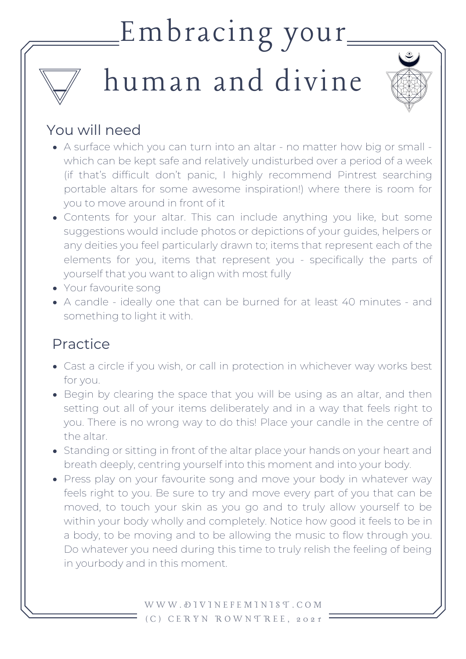## Embracing your

# human and divine



### You will need

- A surface which you can turn into an altar no matter how big or small which can be kept safe and relatively undisturbed over a period of a week (if that's difficult don't panic, I highly recommend Pintrest searching portable altars for some awesome inspiration!) where there is room for you to move around in front of it
- Contents for your altar. This can include anything you like, but some suggestions would include photos or depictions of your guides, helpers or any deities you feel particularly drawn to; items that represent each of the elements for you, items that represent you - specifically the parts of yourself that you want to align with most fully
- Your favourite song
- A candle ideally one that can be burned for at least 40 minutes and something to light it with.

### Practice

- Cast a circle if you wish, or call in protection in whichever way works best for you.
- Begin by clearing the space that you will be using as an altar, and then setting out all of your items deliberately and in a way that feels right to you. There is no wrong way to do this! Place your candle in the centre of the altar.
- Standing or sitting in front of the altar place your hands on your heart and breath deeply, centring yourself into this moment and into your body.
- Press play on your favourite song and move your body in whatever way feels right to you. Be sure to try and move every part of you that can be moved, to touch your skin as you go and to truly allow yourself to be within your body wholly and completely. Notice how good it feels to be in a body, to be moving and to be allowing the music to flow through you. Do whatever you need during this time to truly relish the feeling of being in yourbody and in this moment.